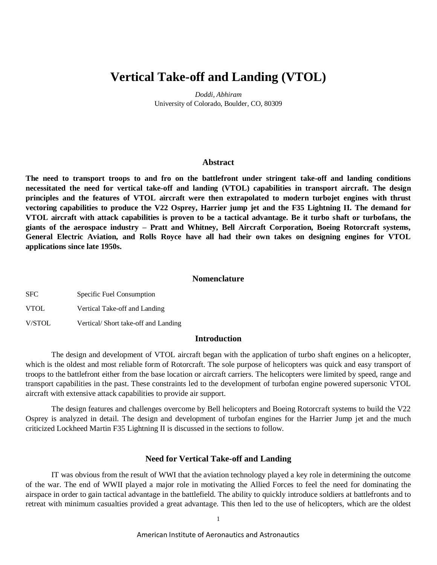# **Vertical Take-off and Landing (VTOL)**

*Doddi, Abhiram* University of Colorado, Boulder, CO, 80309

#### **Abstract**

**The need to transport troops to and fro on the battlefront under stringent take-off and landing conditions necessitated the need for vertical take-off and landing (VTOL) capabilities in transport aircraft. The design principles and the features of VTOL aircraft were then extrapolated to modern turbojet engines with thrust vectoring capabilities to produce the V22 Osprey, Harrier jump jet and the F35 Lightning II. The demand for VTOL aircraft with attack capabilities is proven to be a tactical advantage. Be it turbo shaft or turbofans, the giants of the aerospace industry – Pratt and Whitney, Bell Aircraft Corporation, Boeing Rotorcraft systems, General Electric Aviation, and Rolls Royce have all had their own takes on designing engines for VTOL applications since late 1950s.**

# **Nomenclature**

SFC Specific Fuel Consumption

VTOL Vertical Take-off and Landing

V/STOL Vertical/ Short take-off and Landing

# **Introduction**

The design and development of VTOL aircraft began with the application of turbo shaft engines on a helicopter, which is the oldest and most reliable form of Rotorcraft. The sole purpose of helicopters was quick and easy transport of troops to the battlefront either from the base location or aircraft carriers. The helicopters were limited by speed, range and transport capabilities in the past. These constraints led to the development of turbofan engine powered supersonic VTOL aircraft with extensive attack capabilities to provide air support.

The design features and challenges overcome by Bell helicopters and Boeing Rotorcraft systems to build the V22 Osprey is analyzed in detail. The design and development of turbofan engines for the Harrier Jump jet and the much criticized Lockheed Martin F35 Lightning II is discussed in the sections to follow.

## **Need for Vertical Take-off and Landing**

IT was obvious from the result of WWI that the aviation technology played a key role in determining the outcome of the war. The end of WWII played a major role in motivating the Allied Forces to feel the need for dominating the airspace in order to gain tactical advantage in the battlefield. The ability to quickly introduce soldiers at battlefronts and to retreat with minimum casualties provided a great advantage. This then led to the use of helicopters, which are the oldest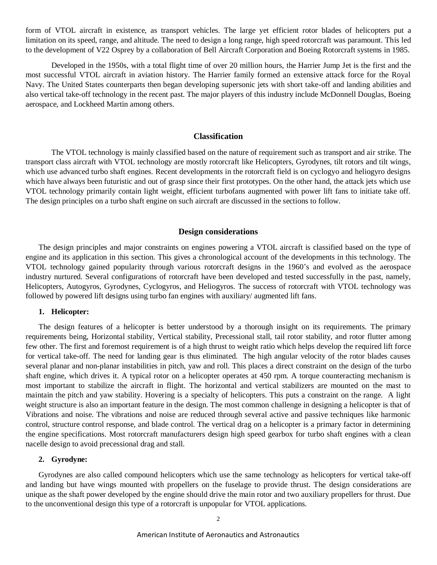form of VTOL aircraft in existence, as transport vehicles. The large yet efficient rotor blades of helicopters put a limitation on its speed, range, and altitude. The need to design a long range, high speed rotorcraft was paramount. This led to the development of V22 Osprey by a collaboration of Bell Aircraft Corporation and Boeing Rotorcraft systems in 1985.

Developed in the 1950s, with a total flight time of over 20 million hours, the Harrier Jump Jet is the first and the most successful VTOL aircraft in aviation history. The Harrier family formed an extensive attack force for the Royal Navy. The United States counterparts then began developing supersonic jets with short take-off and landing abilities and also vertical take-off technology in the recent past. The major players of this industry include McDonnell Douglas, Boeing aerospace, and Lockheed Martin among others.

# **Classification**

The VTOL technology is mainly classified based on the nature of requirement such as transport and air strike. The transport class aircraft with VTOL technology are mostly rotorcraft like Helicopters, Gyrodynes, tilt rotors and tilt wings, which use advanced turbo shaft engines. Recent developments in the rotorcraft field is on cyclogyo and heliogyro designs which have always been futuristic and out of grasp since their first prototypes. On the other hand, the attack jets which use VTOL technology primarily contain light weight, efficient turbofans augmented with power lift fans to initiate take off. The design principles on a turbo shaft engine on such aircraft are discussed in the sections to follow.

# **Design considerations**

The design principles and major constraints on engines powering a VTOL aircraft is classified based on the type of engine and its application in this section. This gives a chronological account of the developments in this technology. The VTOL technology gained popularity through various rotorcraft designs in the 1960's and evolved as the aerospace industry nurtured. Several configurations of rotorcraft have been developed and tested successfully in the past, namely, Helicopters, Autogyros, Gyrodynes, Cyclogyros, and Heliogyros. The success of rotorcraft with VTOL technology was followed by powered lift designs using turbo fan engines with auxiliary/ augmented lift fans.

#### **1. Helicopter:**

The design features of a helicopter is better understood by a thorough insight on its requirements. The primary requirements being, Horizontal stability, Vertical stability, Precessional stall, tail rotor stability, and rotor flutter among few other. The first and foremost requirement is of a high thrust to weight ratio which helps develop the required lift force for vertical take-off. The need for landing gear is thus eliminated. The high angular velocity of the rotor blades causes several planar and non-planar instabilities in pitch, yaw and roll. This places a direct constraint on the design of the turbo shaft engine, which drives it. A typical rotor on a helicopter operates at 450 rpm. A torque counteracting mechanism is most important to stabilize the aircraft in flight. The horizontal and vertical stabilizers are mounted on the mast to maintain the pitch and yaw stability. Hovering is a specialty of helicopters. This puts a constraint on the range. A light weight structure is also an important feature in the design. The most common challenge in designing a helicopter is that of Vibrations and noise. The vibrations and noise are reduced through several active and passive techniques like harmonic control, structure control response, and blade control. The vertical drag on a helicopter is a primary factor in determining the engine specifications. Most rotorcraft manufacturers design high speed gearbox for turbo shaft engines with a clean nacelle design to avoid precessional drag and stall.

# **2. Gyrodyne:**

Gyrodynes are also called compound helicopters which use the same technology as helicopters for vertical take-off and landing but have wings mounted with propellers on the fuselage to provide thrust. The design considerations are unique as the shaft power developed by the engine should drive the main rotor and two auxiliary propellers for thrust. Due to the unconventional design this type of a rotorcraft is unpopular for VTOL applications.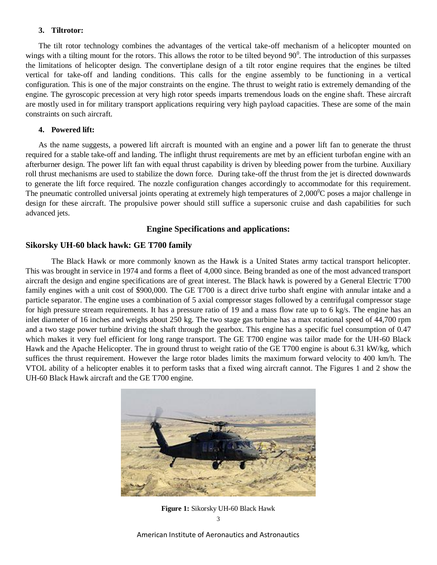### **3. Tiltrotor:**

The tilt rotor technology combines the advantages of the vertical take-off mechanism of a helicopter mounted on wings with a tilting mount for the rotors. This allows the rotor to be tilted beyond  $90^\circ$ . The introduction of this surpasses the limitations of helicopter design. The convertiplane design of a tilt rotor engine requires that the engines be tilted vertical for take-off and landing conditions. This calls for the engine assembly to be functioning in a vertical configuration. This is one of the major constraints on the engine. The thrust to weight ratio is extremely demanding of the engine. The gyroscopic precession at very high rotor speeds imparts tremendous loads on the engine shaft. These aircraft are mostly used in for military transport applications requiring very high payload capacities. These are some of the main constraints on such aircraft.

# **4. Powered lift:**

As the name suggests, a powered lift aircraft is mounted with an engine and a power lift fan to generate the thrust required for a stable take-off and landing. The inflight thrust requirements are met by an efficient turbofan engine with an afterburner design. The power lift fan with equal thrust capability is driven by bleeding power from the turbine. Auxiliary roll thrust mechanisms are used to stabilize the down force. During take-off the thrust from the jet is directed downwards to generate the lift force required. The nozzle configuration changes accordingly to accommodate for this requirement. The pneumatic controlled universal joints operating at extremely high temperatures of  $2,000^{\circ}$ C poses a major challenge in design for these aircraft. The propulsive power should still suffice a supersonic cruise and dash capabilities for such advanced jets.

# **Engine Specifications and applications:**

#### **Sikorsky UH-60 black hawk: GE T700 family**

The Black Hawk or more commonly known as the Hawk is a United States army tactical transport helicopter. This was brought in service in 1974 and forms a fleet of 4,000 since. Being branded as one of the most advanced transport aircraft the design and engine specifications are of great interest. The Black hawk is powered by a General Electric T700 family engines with a unit cost of \$900,000. The GE T700 is a direct drive turbo shaft engine with annular intake and a particle separator. The engine uses a combination of 5 axial compressor stages followed by a centrifugal compressor stage for high pressure stream requirements. It has a pressure ratio of 19 and a mass flow rate up to 6 kg/s. The engine has an inlet diameter of 16 inches and weighs about 250 kg. The two stage gas turbine has a max rotational speed of 44,700 rpm and a two stage power turbine driving the shaft through the gearbox. This engine has a specific fuel consumption of 0.47 which makes it very fuel efficient for long range transport. The GE T700 engine was tailor made for the UH-60 Black Hawk and the Apache Helicopter. The in ground thrust to weight ratio of the GE T700 engine is about 6.31 kW/kg, which suffices the thrust requirement. However the large rotor blades limits the maximum forward velocity to 400 km/h. The VTOL ability of a helicopter enables it to perform tasks that a fixed wing aircraft cannot. The Figures 1 and 2 show the UH-60 Black Hawk aircraft and the GE T700 engine.



3 **Figure 1:** Sikorsky UH-60 Black Hawk

American Institute of Aeronautics and Astronautics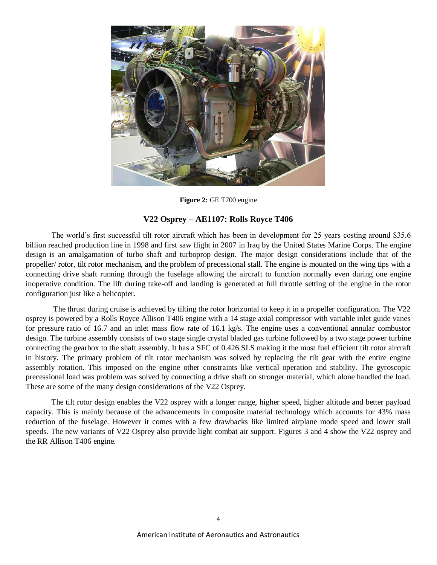

Figure 2: GE T700 engine

# **V22 Osprey – AE1107: Rolls Royce T406**

The world's first successful tilt rotor aircraft which has been in development for 25 years costing around \$35.6 billion reached production line in 1998 and first saw flight in 2007 in Iraq by the United States Marine Corps. The engine design is an amalgamation of turbo shaft and turboprop design. The major design considerations include that of the propeller/ rotor, tilt rotor mechanism, and the problem of precessional stall. The engine is mounted on the wing tips with a connecting drive shaft running through the fuselage allowing the aircraft to function normally even during one engine inoperative condition. The lift during take-off and landing is generated at full throttle setting of the engine in the rotor configuration just like a helicopter.

The thrust during cruise is achieved by tilting the rotor horizontal to keep it in a propeller configuration. The V22 osprey is powered by a Rolls Royce Allison T406 engine with a 14 stage axial compressor with variable inlet guide vanes for pressure ratio of 16.7 and an inlet mass flow rate of 16.1 kg/s. The engine uses a conventional annular combustor design. The turbine assembly consists of two stage single crystal bladed gas turbine followed by a two stage power turbine connecting the gearbox to the shaft assembly. It has a SFC of 0.426 SLS making it the most fuel efficient tilt rotor aircraft in history. The primary problem of tilt rotor mechanism was solved by replacing the tilt gear with the entire engine assembly rotation. This imposed on the engine other constraints like vertical operation and stability. The gyroscopic precessional load was problem was solved by connecting a drive shaft on stronger material, which alone handled the load. These are some of the many design considerations of the V22 Osprey.

The tilt rotor design enables the V22 osprey with a longer range, higher speed, higher altitude and better payload capacity. This is mainly because of the advancements in composite material technology which accounts for 43% mass reduction of the fuselage. However it comes with a few drawbacks like limited airplane mode speed and lower stall speeds. The new variants of V22 Osprey also provide light combat air support. Figures 3 and 4 show the V22 osprey and the RR Allison T406 engine.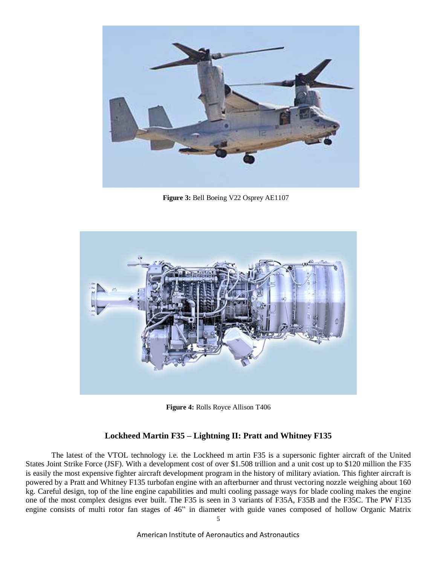

 **Figure 3:** Bell Boeing V22 Osprey AE1107



**Figure 4:** Rolls Royce Allison T406

# **Lockheed Martin F35 – Lightning II: Pratt and Whitney F135**

The latest of the VTOL technology i.e. the Lockheed m artin F35 is a supersonic fighter aircraft of the United States Joint Strike Force (JSF). With a development cost of over \$1.508 trillion and a unit cost up to \$120 million the F35 is easily the most expensive fighter aircraft development program in the history of military aviation. This fighter aircraft is powered by a Pratt and Whitney F135 turbofan engine with an afterburner and thrust vectoring nozzle weighing about 160 kg. Careful design, top of the line engine capabilities and multi cooling passage ways for blade cooling makes the engine one of the most complex designs ever built. The F35 is seen in 3 variants of F35A, F35B and the F35C. The PW F135 engine consists of multi rotor fan stages of 46" in diameter with guide vanes composed of hollow Organic Matrix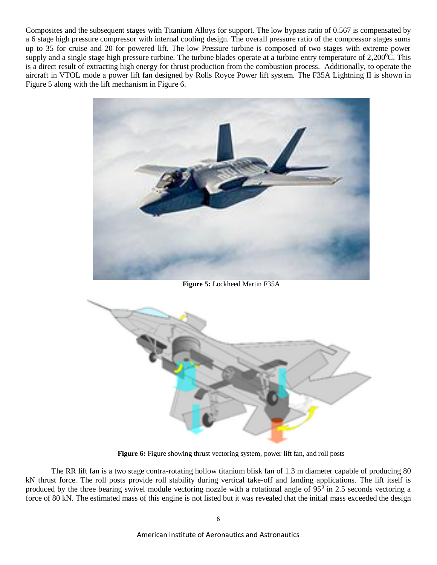Composites and the subsequent stages with Titanium Alloys for support. The low bypass ratio of 0.567 is compensated by a 6 stage high pressure compressor with internal cooling design. The overall pressure ratio of the compressor stages sums up to 35 for cruise and 20 for powered lift. The low Pressure turbine is composed of two stages with extreme power supply and a single stage high pressure turbine. The turbine blades operate at a turbine entry temperature of  $2,200^{\circ}$ C. This is a direct result of extracting high energy for thrust production from the combustion process. Additionally, to operate the aircraft in VTOL mode a power lift fan designed by Rolls Royce Power lift system. The F35A Lightning II is shown in Figure 5 along with the lift mechanism in Figure 6.



**Figure 5:** Lockheed Martin F35A



Figure 6: Figure showing thrust vectoring system, power lift fan, and roll posts

The RR lift fan is a two stage contra-rotating hollow titanium blisk fan of 1.3 m diameter capable of producing 80 kN thrust force. The roll posts provide roll stability during vertical take-off and landing applications. The lift itself is produced by the three bearing swivel module vectoring nozzle with a rotational angle of  $95^\circ$  in 2.5 seconds vectoring a force of 80 kN. The estimated mass of this engine is not listed but it was revealed that the initial mass exceeded the design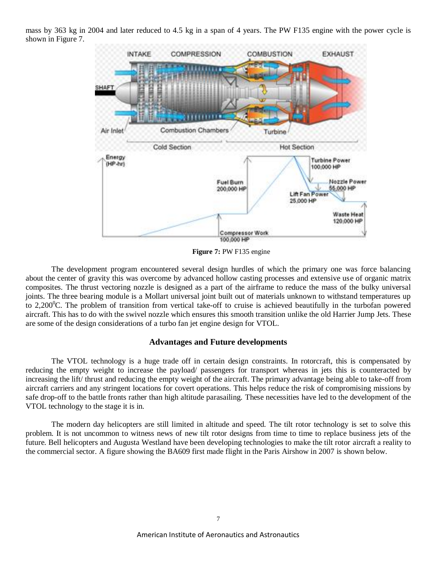mass by 363 kg in 2004 and later reduced to 4.5 kg in a span of 4 years. The PW F135 engine with the power cycle is shown in Figure 7.



**Figure 7:** PW F135 engine

The development program encountered several design hurdles of which the primary one was force balancing about the center of gravity this was overcome by advanced hollow casting processes and extensive use of organic matrix composites. The thrust vectoring nozzle is designed as a part of the airframe to reduce the mass of the bulky universal joints. The three bearing module is a Mollart universal joint built out of materials unknown to withstand temperatures up to 2,200 $^{\circ}$ C. The problem of transition from vertical take-off to cruise is achieved beautifully in the turbofan powered aircraft. This has to do with the swivel nozzle which ensures this smooth transition unlike the old Harrier Jump Jets. These are some of the design considerations of a turbo fan jet engine design for VTOL.

## **Advantages and Future developments**

The VTOL technology is a huge trade off in certain design constraints. In rotorcraft, this is compensated by reducing the empty weight to increase the payload/ passengers for transport whereas in jets this is counteracted by increasing the lift/ thrust and reducing the empty weight of the aircraft. The primary advantage being able to take-off from aircraft carriers and any stringent locations for covert operations. This helps reduce the risk of compromising missions by safe drop-off to the battle fronts rather than high altitude parasailing. These necessities have led to the development of the VTOL technology to the stage it is in.

The modern day helicopters are still limited in altitude and speed. The tilt rotor technology is set to solve this problem. It is not uncommon to witness news of new tilt rotor designs from time to time to replace business jets of the future. Bell helicopters and Augusta Westland have been developing technologies to make the tilt rotor aircraft a reality to the commercial sector. A figure showing the BA609 first made flight in the Paris Airshow in 2007 is shown below.